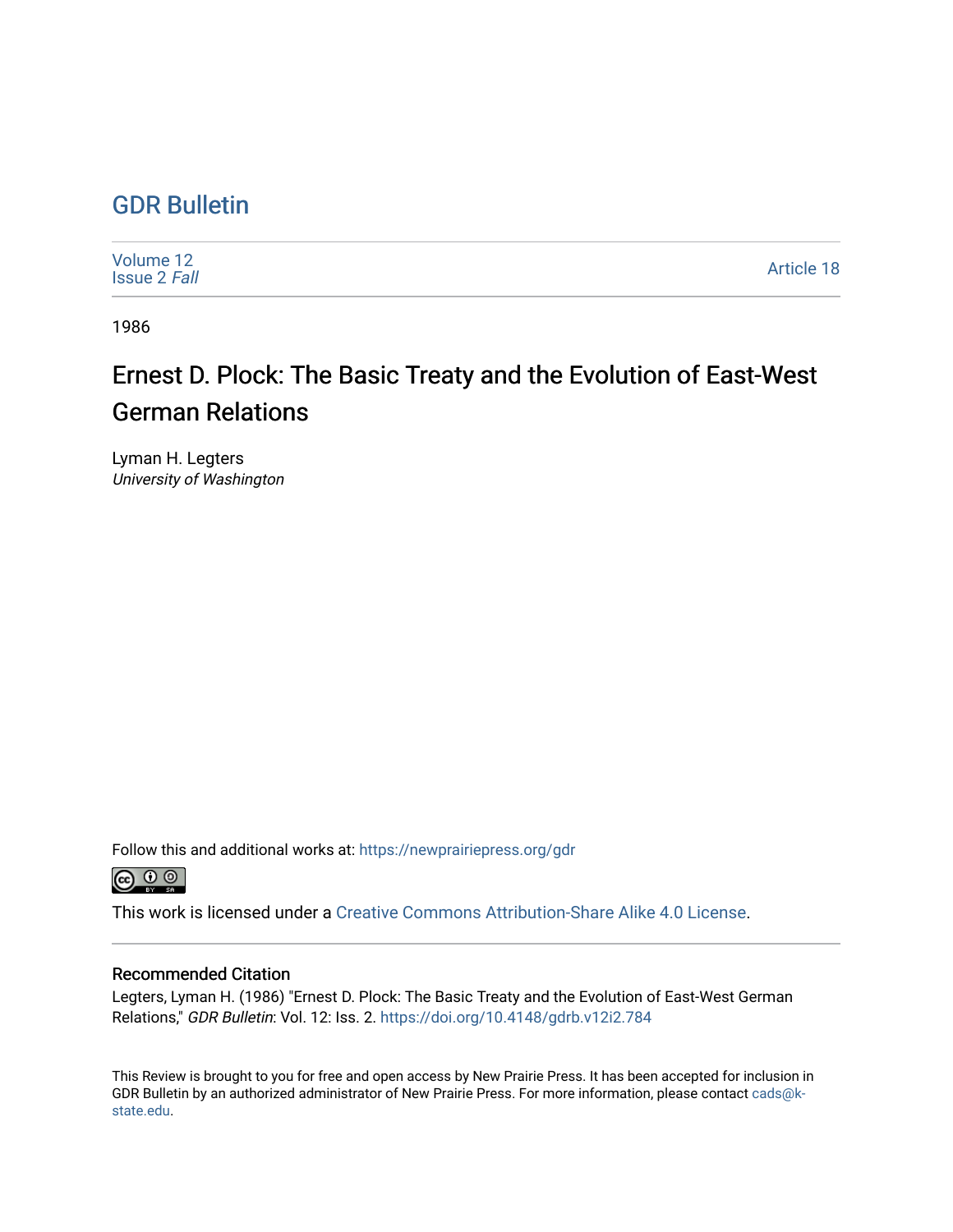## [GDR Bulletin](https://newprairiepress.org/gdr)

[Volume 12](https://newprairiepress.org/gdr/vol12) [Issue 2](https://newprairiepress.org/gdr/vol12/iss2) Fall [Article 18](https://newprairiepress.org/gdr/vol12/iss2/18) 

1986

## Ernest D. Plock: The Basic Treaty and the Evolution of East-West German Relations

Lyman H. Legters University of Washington

Follow this and additional works at: [https://newprairiepress.org/gdr](https://newprairiepress.org/gdr?utm_source=newprairiepress.org%2Fgdr%2Fvol12%2Fiss2%2F18&utm_medium=PDF&utm_campaign=PDFCoverPages) 



This work is licensed under a [Creative Commons Attribution-Share Alike 4.0 License.](https://creativecommons.org/licenses/by-sa/4.0/)

## Recommended Citation

Legters, Lyman H. (1986) "Ernest D. Plock: The Basic Treaty and the Evolution of East-West German Relations," GDR Bulletin: Vol. 12: Iss. 2. <https://doi.org/10.4148/gdrb.v12i2.784>

This Review is brought to you for free and open access by New Prairie Press. It has been accepted for inclusion in GDR Bulletin by an authorized administrator of New Prairie Press. For more information, please contact [cads@k](mailto:cads@k-state.edu)[state.edu](mailto:cads@k-state.edu).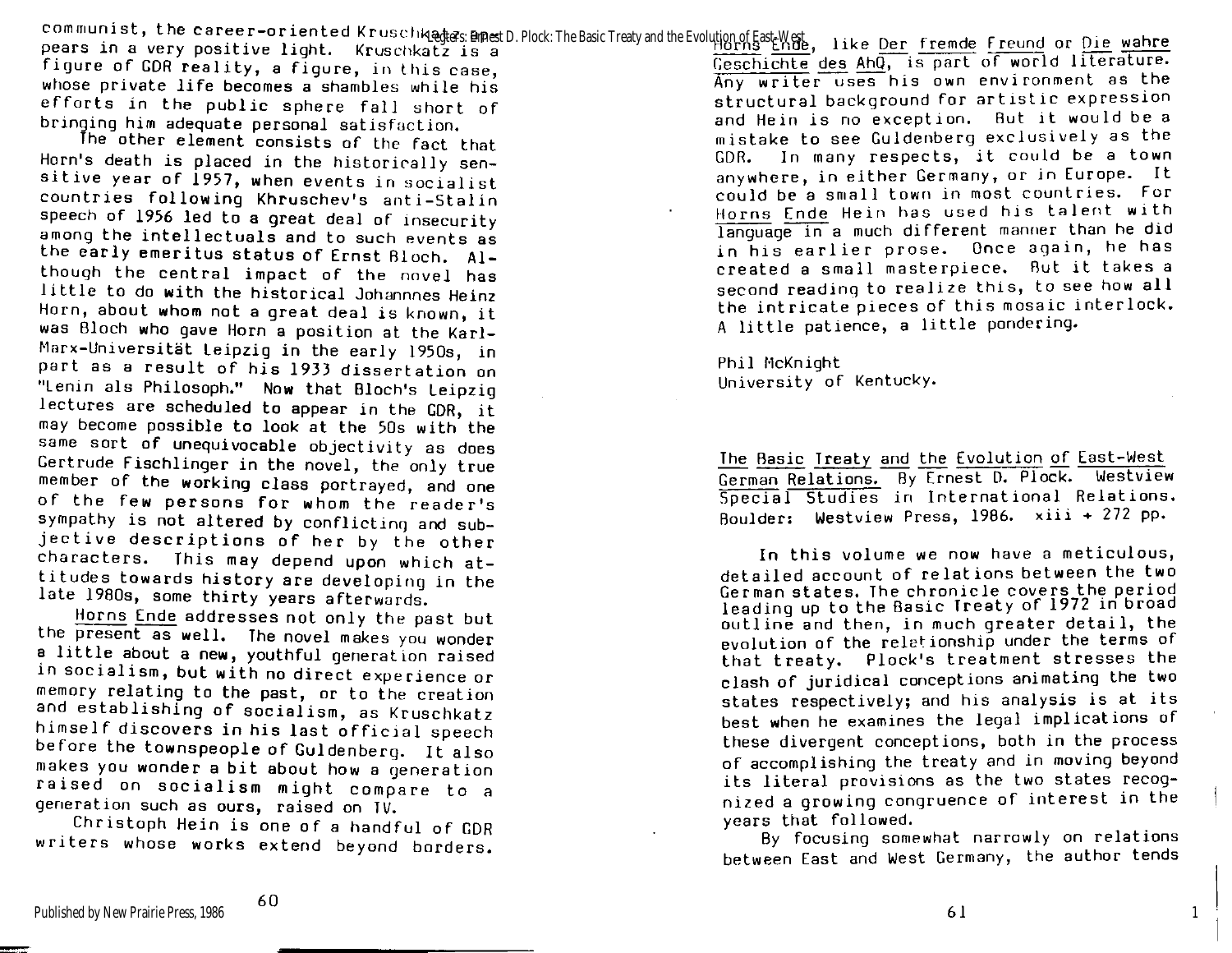communist, the career-oriented Kruschkatz ap<del>o</del>

figure of GDR reality, a figure, in this case, whose private life becomes a shambles while his efforts in the public sphere fall short of bringing him adequate personal satisfaction.

The other element consists of the fact that Horn's death is placed in the historically sensitive year of 1957, when events in socialist countries following Khruschev's anti-Stalin speech of 1956 led to a great deal of insecurity among the intellectuals and to such events as the early emeritus status of Ernst Bloch. Although the central impact of the novel has little to do with the historical Johannnes Heinz Horn, about whom not a great deal is known, it was Bloch who qave Horn a position at the Karl-Marx-Universität Leipzig in the early 1950s, in part as a result of his 1933 dissertation on "Lenin als Philosoph." Now that Bloch's Leipzig lectures are scheduled to appear in the GDR, it may become possible to look at the 50s with the same sort of unequivocable objectivity as does Gertrude Fischlinger in the novel, the only true member of the working class portrayed, and one of the few persons for whom the reader's sympathy is not altered by conflicting and subjective descriptions of her by the other characters. This may depend upon which attitudes towards history are developing in the late 1980s, some thirty years afterwards.

Horns Ende addresses not only the past but the present as well. The novel makes you wonder a little about a new, youthful generation raised in socialism, but with no direct experience or memory relating to the past, or to the creation and establishing of socialism, as Kruschkatz himself discovers in his last official speech before the townspeople of Guldenberg. It also makes you wonder a bit about how a generation raised on socialism might compare to a generation such as ours, raised on IV.

Christoph Hein is one of a handful of GDR writers whose works extend beyond borders.

et mannist, the career-oriented Kruschkagges: Binast D. Plock: The Basic Treaty and the Evolution of East-West, like Der fremde freund or Die wahre<br>pears in a very positive light. Kruschkatz is a Geschichte des AhQ, is part of world literature. Any writer uses his own environment as the structural background for artistic expression and Hein is no exception. But it would be a mistake to see Guldenberg exclusively as the GDR. In many respects, it could be a town anywhere, in either Germany, or in Europe. It could be a small town in most countries. For Horns Ende Hein has used his talent with language in a much different manner than he did in his earlier prose. Once again, he has created a small masterpiece. But it takes a second reading to realize this, to see how all the intricate pieces of this mosaic interlock. A little patience, a little pondering.

> Phil McKnight University of Kentucky.

The Basic Treaty and the Evolution of East-West German Relations. By Ernest D. Plock. Westview Special Studies in International Relations. Boulder: Westview Press, 1986.  $xiii + 272$  pp.

In this volume we now have a meticulous, detailed account of relations between the two German states. The chronicle covers the period leading up to the Basic Treaty of 1972 in broad outline and then, in much greater detail, the evolution of the reletionship under the terms of that treaty. Plock's treatment stresses the clash of juridical conceptions animating the two states respectively; and his analysis is at its best when he examines the legal implications of these divergent conceptions, both in the process of accomplishing the treaty and in moving beyond its literal provisions as the two states recognized a growing congruence of interest in the years that followed.

By focusing somewhat narrowly on relations between East and West Germany, the author tends

**6** 1